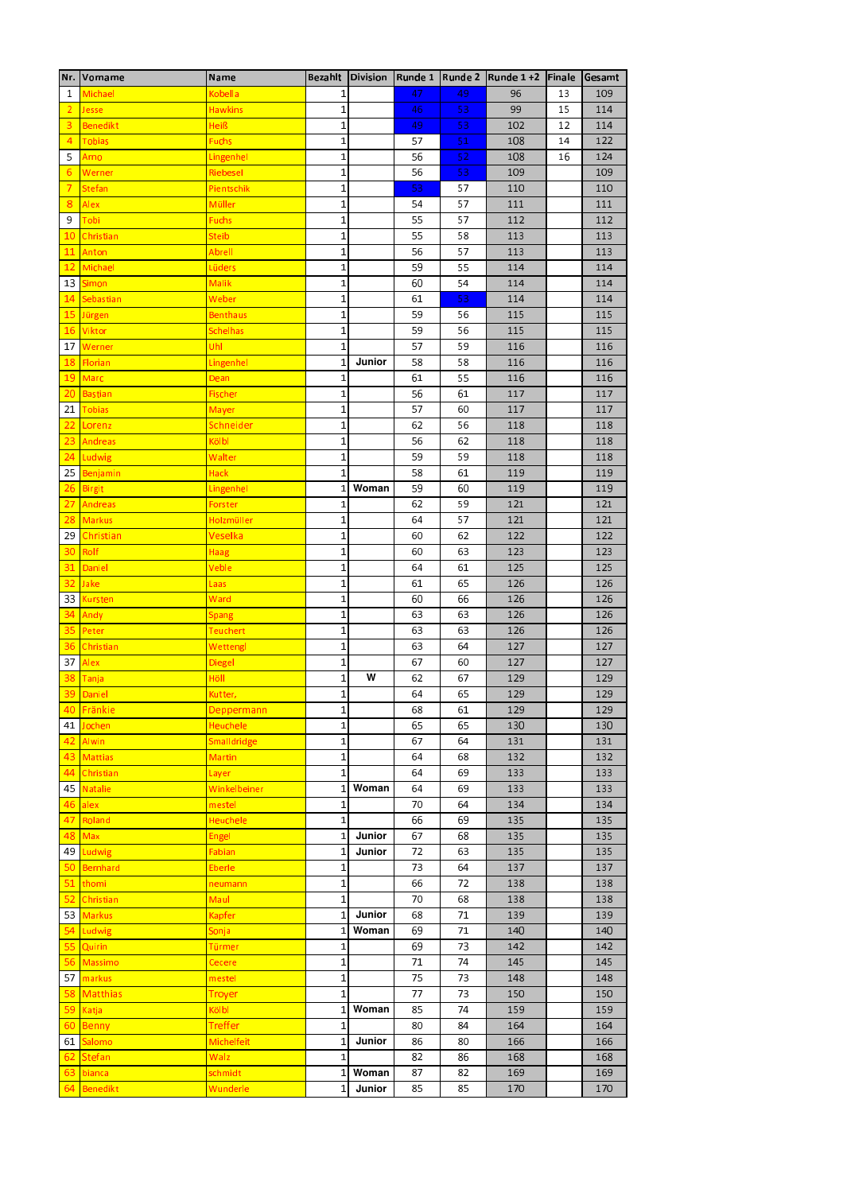|                 | Nr. Vorname     | Name                  |              |        |    |    | Bezahlt Division Runde 1 Runde 2 Runde 1 +2 Finale |    | Gesamt |
|-----------------|-----------------|-----------------------|--------------|--------|----|----|----------------------------------------------------|----|--------|
| 1               | Michael         | Kobella               | 1            |        | 47 | 49 | 96                                                 | 13 | 109    |
| $\overline{2}$  | <b>Jesse</b>    | <b>Hawkins</b>        | $\mathbf{1}$ |        | 46 | 53 | 99                                                 | 15 | 114    |
| 3               | <b>Benedikt</b> | Heiß                  | $\mathbf{1}$ |        | 49 | 53 | 102                                                | 12 | 114    |
| $\overline{4}$  | Tobias          | <b>Fuchs</b>          | 1            |        | 57 | 51 | 108                                                | 14 | 122    |
| 5               | Arno            | Lingenhel             | $\mathbf{1}$ |        | 56 | 52 | 108                                                | 16 | 124    |
| 6               | Werner          |                       | $\mathbf{1}$ |        |    | 53 |                                                    |    | 109    |
|                 |                 | Riebesel              |              |        | 56 |    | 109                                                |    |        |
| $\overline{7}$  | <b>Stefan</b>   | Pients chik           | 1            |        | 53 | 57 | 110                                                |    | 110    |
| 8               | Alex            | Müller                | $\mathbf{1}$ |        | 54 | 57 | 111                                                |    | 111    |
| 9               | Tobi            | Fuchs                 | $\mathbf{1}$ |        | 55 | 57 | 112                                                |    | 112    |
| 10              | Christian       | Steib                 | $\mathbf{1}$ |        | 55 | 58 | 113                                                |    | 113    |
| 11              | <b>Anton</b>    | Abrell                | 1            |        | 56 | 57 | 113                                                |    | 113    |
| 12              | Michael         | Lüders                | $\mathbf{1}$ |        | 59 | 55 | 114                                                |    | 114    |
| 13 <sup>1</sup> | <b>Simon</b>    | <b>Malik</b>          | $\mathbf 1$  |        | 60 | 54 | 114                                                |    | 114    |
|                 | 14 Sebastian    | Weber                 | 1            |        | 61 | 53 | 114                                                |    | 114    |
|                 | 15 Jürgen       | <u>Benthaus</u>       | $\mathbf{1}$ |        | 59 | 56 | 115                                                |    | 115    |
|                 | 16 Viktor       | <mark>Schelhas</mark> | $\mathbf{1}$ |        | 59 | 56 | 115                                                |    | 115    |
| 17              | Werner          | Uhl                   | $\mathbf{1}$ |        | 57 | 59 | 116                                                |    | 116    |
|                 | 18 Florian      | Lingenhel             | $\mathbf{1}$ | Junior | 58 | 58 | 116                                                |    | 116    |
|                 | 19 Marc         | Dean                  | $\mathbf{1}$ |        | 61 | 55 | 116                                                |    | 116    |
|                 | 20 Bastian      | <b>Fischer</b>        | $\mathbf{1}$ |        | 56 | 61 | 117                                                |    | 117    |
|                 | 21 Tobias       | M ayer                | 1            |        | 57 | 60 | 117                                                |    | 117    |
| 22              | Lorenz          | Schneider             | $\mathbf{1}$ |        | 62 | 56 | 118                                                |    | 118    |
| 23              | Andreas         | Kölbl                 | $\mathbf{1}$ |        | 56 | 62 | 118                                                |    | 118    |
| 24              | Ludwig          | Walter                | $\mathbf{1}$ |        | 59 | 59 | 118                                                |    | 118    |
|                 | 25 Benjamin     | Hack                  | $\mathbf{1}$ |        | 58 | 61 | 119                                                |    | 119    |
|                 | 26 Birgit       |                       | 1            | Woman  | 59 | 60 | 119                                                |    | 119    |
| 27              | <b>Andreas</b>  | <u>Lingenhel</u>      | 1            |        | 62 | 59 | 121                                                |    | 121    |
|                 |                 | Forster               |              |        | 64 |    |                                                    |    | 121    |
|                 | 28 Markus       | Holzmüller            | 1            |        |    | 57 | 121                                                |    |        |
|                 | 29 Christian    | Veselka               | $\mathbf 1$  |        | 60 | 62 | 122                                                |    | 122    |
|                 | 30 Rolf         | Haag                  | $\mathbf{1}$ |        | 60 | 63 | 123                                                |    | 123    |
| 31              | Daniel          | Veble                 | $\mathbf{1}$ |        | 64 | 61 | 125                                                |    | 125    |
| 32              | <b>Jake</b>     | Laas                  | $\mathbf 1$  |        | 61 | 65 | 126                                                |    | 126    |
| 33 I            | <b>Kursten</b>  | Ward                  | $\mathbf 1$  |        | 60 | 66 | 126                                                |    | 126    |
| 34              | Andy            | Spang                 | $\mathbf{1}$ |        | 63 | 63 | 126                                                |    | 126    |
| 35              | Peter           | Teuchert              | $\mathbf 1$  |        | 63 | 63 | 126                                                |    | 126    |
| 36              | Christian       | Wettengl              | $\mathbf 1$  |        | 63 | 64 | 127                                                |    | 127    |
| 37              | Alex            | Diegel                | $\mathbf{1}$ |        | 67 | 60 | 127                                                |    | 127    |
| 38              | Tanja           | Höll                  | $\mathbf{1}$ | W      | 62 | 67 | 129                                                |    | 129    |
|                 | 39 Daniel       | Kutter,               | $\mathbf{1}$ |        | 64 | 65 | 129                                                |    | 129    |
|                 | 40 Fränkie      | Deppermann            | $\mathbf 1$  |        | 68 | 61 | 129                                                |    | 129    |
| 41              | Jochen          | Heuchele              | $\mathbf{1}$ |        | 65 | 65 | 130                                                |    | 130    |
| 42              | <b>Alwin</b>    | Smalldridge           | $\mathbf 1$  |        | 67 | 64 | 131                                                |    | 131    |
| 43              | <b>Mattias</b>  | Martin                | $\mathbf 1$  |        | 64 | 68 | 132                                                |    | 132    |
| 44              | Christian       | Layer                 | $\mathbf{1}$ |        | 64 | 69 | 133                                                |    | 133    |
| 45              | Natalie         | Winkelbeiner          | $\mathbf{1}$ | Woman  | 64 | 69 | 133                                                |    | 133    |
| 46              | alex            | mestel                | $\mathbf{1}$ |        | 70 | 64 | 134                                                |    | 134    |
| 47              | Roland          | <b>Heuchele</b>       | $\mathbf{1}$ |        | 66 | 69 | 135                                                |    | 135    |
| 48              | Max             | Engel                 | $\mathbf{1}$ | Junior | 67 | 68 | 135                                                |    | 135    |
| 49              | Ludwig          | Fabian                | $\mathbf{1}$ | Junior | 72 | 63 | 135                                                |    | 135    |
|                 | 50 Bernhard     | Eberle                | 1            |        | 73 | 64 | 137                                                |    | 137    |
| 51              | thomi           | neumann               | $\mathbf 1$  |        | 66 | 72 | 138                                                |    | 138    |
| 52              | Christian       | Maul                  | $\mathbf{1}$ |        | 70 | 68 | 138                                                |    | 138    |
| 53              | <b>Markus</b>   | Kapfer                | 1            | Junior | 68 | 71 | 139                                                |    | 139    |
| 54              | Ludwig          | Sonja                 | $\mathbf{1}$ | Woman  | 69 | 71 | 140                                                |    | 140    |
| 55              | <b>Quirin</b>   | Türmer                | $\mathbf{1}$ |        | 69 | 73 | 142                                                |    | 142    |
| 56              | Massimo         | Cecere                | $\mathbf 1$  |        | 71 | 74 | 145                                                |    | 145    |
|                 | 57 markus       | mestel                | $\mathbf 1$  |        | 75 | 73 | 148                                                |    | 148    |
| 58              | <b>Matthias</b> | Troyer                | $\mathbf{1}$ |        | 77 | 73 | 150                                                |    | 150    |
| 59              | Katja           | Kölbl                 | $\mathbf{1}$ | Woman  | 85 | 74 | 159                                                |    | 159    |
| 60              | <b>Benny</b>    | Treffer               | $\mathbf{1}$ |        | 80 | 84 | 164                                                |    | 164    |
| 61              | <b>Salomo</b>   | Michelfeit            | $\mathbf{1}$ | Junior | 86 | 80 | 166                                                |    | 166    |
| 62              | <b>Stefan</b>   | Walz                  | $\mathbf{1}$ |        | 82 | 86 | 168                                                |    | 168    |
| 63              | bianca          | s chmidt              | $\mathbf{1}$ | Woman  | 87 | 82 | 169                                                |    | 169    |
| 64              | <b>Benedikt</b> | Wunderle              | 1            | Junior | 85 | 85 | 170                                                |    | 170    |
|                 |                 |                       |              |        |    |    |                                                    |    |        |